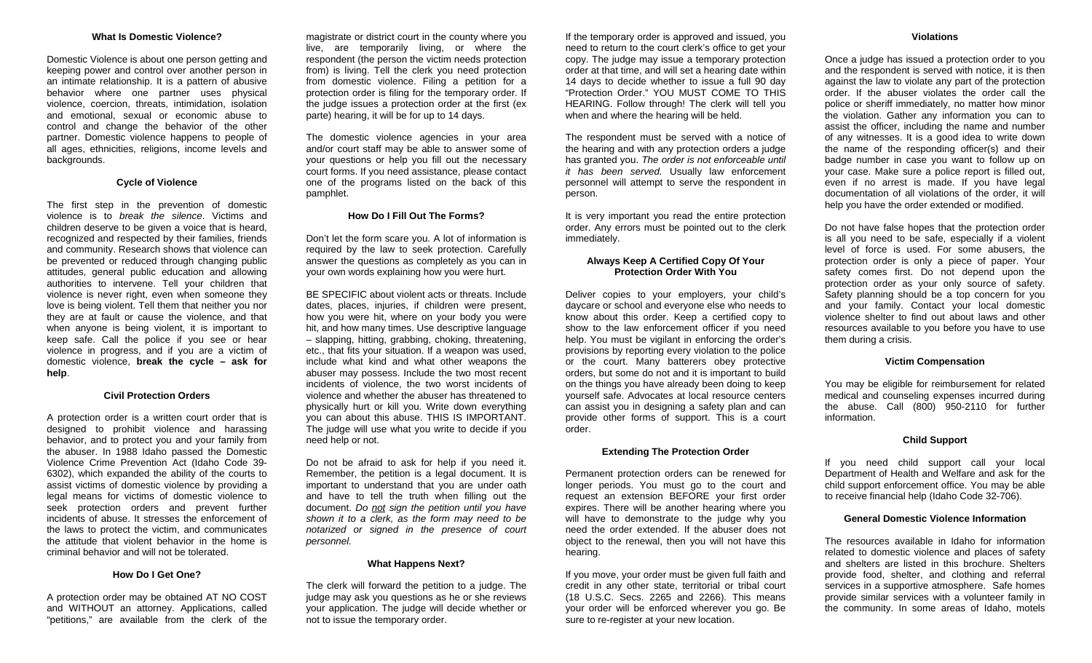## **What Is Domestic Violence?**

Domestic Violence is about one person getting and keeping power and control over another person in an intimate relationship. It is a pattern of abusive behavior where one partner uses physical violence, coercion, threats, intimidation, isolation and emotional, sexual or economic abuse to control and change the behavior of the other partner. Domestic violence happens to people of all ages, ethnicities, religions, income levels and backgrounds.

### **Cycle of Violence**

The first step in the prevention of domestic violence is to *break the silence*. Victims and children deserve to be given a voice that is heard, recognized and respected by their families, friends and community. Research shows that violence can be prevented or reduced through changing public attitudes, general public education and allowing authorities to intervene. Tell your children that violence is never right, even when someone they love is being violent. Tell them that neither you nor they are at fault or cause the violence, and that when anyone is being violent, it is important to keep safe. Call the police if you see or hear violence in progress, and if you are a victim of domestic violence, **break the cycle – ask for help**.

#### **Civil Protection Orders**

A protection order is a written court order that is designed to prohibit violence and harassing behavior, and to protect you and your family from the abuser. In 1988 Idaho passed the Domestic Violence Crime Prevention Act (Idaho Code 39- 6302), which expanded the ability of the courts to assist victims of domestic violence by providing a legal means for victims of domestic violence to seek protection orders and prevent further incidents of abuse. It stresses the enforcement of the laws to protect the victim, and communicates the attitude that violent behavior in the home is criminal behavior and will not be tolerated.

#### **How Do I Get One?**

A protection order may be obtained AT NO COST and WITHOUT an attorney. Applications, called "petitions," are available from the clerk of the magistrate or district court in the county where you live, are temporarily living, or where the respondent (the person the victim needs protection from) is living. Tell the clerk you need protection from domestic violence. Filing a petition for a protection order is filing for the temporary order. If the judge issues a protection order at the first (ex parte) hearing, it will be for up to 14 days.

The domestic violence agencies in your area and/or court staff may be able to answer some of your questions or help you fill out the necessary court forms. If you need assistance, please contact one of the programs listed on the back of this pamphlet.

# **How Do I Fill Out The Forms?**

Don't let the form scare you. A lot of information is required by the law to seek protection. Carefully answer the questions as completely as you can in your own words explaining how you were hurt.

BE SPECIFIC about violent acts or threats. Include dates, places, injuries, if children were present, how you were hit, where on your body you were hit, and how many times. Use descriptive language – slapping, hitting, grabbing, choking, threatening, etc., that fits your situation. If a weapon was used, include what kind and what other weapons the abuser may possess. Include the two most recent incidents of violence, the two worst incidents of violence and whether the abuser has threatened to physically hurt or kill you. Write down everything you can about this abuse. THIS IS IMPORTANT. The judge will use what you write to decide if you need help or not.

Do not be afraid to ask for help if you need it. Remember, the petition is a legal document. It is important to understand that you are under oath and have to tell the truth when filling out the document. *Do not sign the petition until you have shown it to a clerk, as the form may need to be notarized or signed in the presence of court personnel.* 

## **What Happens Next?**

The clerk will forward the petition to a judge. The judge may ask you questions as he or she reviews your application. The judge will decide whether or not to issue the temporary order.

If the temporary order is approved and issued, you need to return to the court clerk's office to get your copy. The judge may issue a temporary protection order at that time, and will set a hearing date within 14 days to decide whether to issue a full 90 day "Protection Order." YOU MUST COME TO THIS HEARING. Follow through! The clerk will tell you when and where the hearing will be held.

The respondent must be served with a notice of the hearing and with any protection orders a judge has granted you. *The order is not enforceable until it has been served.* Usually law enforcement personnel will attempt to serve the respondent in person.

It is very important you read the entire protection order. Any errors must be pointed out to the clerk immediately.

# **Always Keep A Certified Copy Of Your Protection Order With You**

Deliver copies to your employers, your child's daycare or school and everyone else who needs to know about this order. Keep a certified copy to show to the law enforcement officer if you need help. You must be vigilant in enforcing the order's provisions by reporting every violation to the police or the court. Many batterers obey protective orders, but some do not and it is important to build on the things you have already been doing to keep yourself safe. Advocates at local resource centers can assist you in designing a safety plan and can provide other forms of support. This is a court order.

## **Extending The Protection Order**

Permanent protection orders can be renewed for longer periods. You must go to the court and request an extension BEFORE your first order expires. There will be another hearing where you will have to demonstrate to the judge why you need the order extended. If the abuser does not object to the renewal, then you will not have this hearing.

If you move, your order must be given full faith and credit in any other state, territorial or tribal court (18 U.S.C. Secs. 2265 and 2266). This means your order will be enforced wherever you go. Be sure to re-register at your new location.

#### **Violations**

Once a judge has issued a protection order to you and the respondent is served with notice, it is then against the law to violate any part of the protection order. If the abuser violates the order call the police or sheriff immediately, no matter how minor the violation. Gather any information you can to assist the officer, including the name and number of any witnesses. It is a good idea to write down the name of the responding officer(s) and their badge number in case you want to follow up on your case. Make sure a police report is filled out, even if no arrest is made. If you have legal documentation of all violations of the order, it will help you have the order extended or modified.

Do not have false hopes that the protection order is all you need to be safe, especially if a violent level of force is used. For some abusers, the protection order is only a piece of paper. Your safety comes first. Do not depend upon the protection order as your only source of safety. Safety planning should be a top concern for you and your family. Contact your local domestic violence shelter to find out about laws and other resources available to you before you have to use them during a crisis.

# **Victim Compensation**

You may be eligible for reimbursement for related medical and counseling expenses incurred during the abuse. Call (800) 950-2110 for further information.

#### **Child Support**

If you need child support call your local Department of Health and Welfare and ask for the child support enforcement office. You may be able to receive financial help (Idaho Code 32-706).

## **General Domestic Violence Information**

The resources available in Idaho for information related to domestic violence and places of safety and shelters are listed in this brochure. Shelters provide food, shelter, and clothing and referral services in a supportive atmosphere. Safe homes provide similar services with a volunteer family in the community. In some areas of Idaho, motels